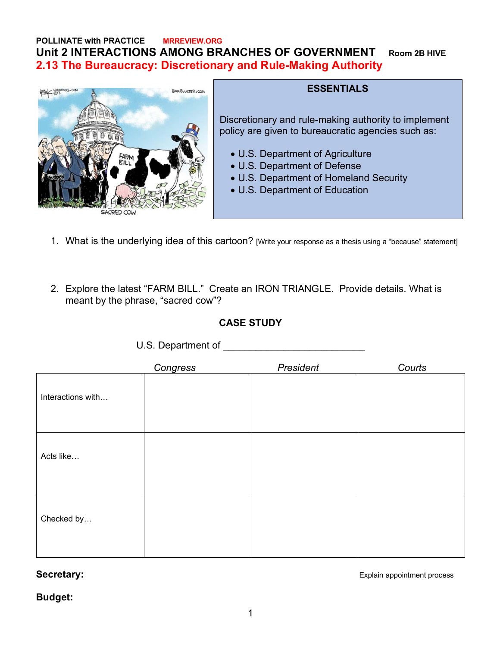# **POLLINATE with PRACTICE MRREVIEW.ORG Unit 2 INTERACTIONS AMONG BRANCHES OF GOVERNMENT Room 2B HIVE 2.13 The Bureaucracy: Discretionary and Rule-Making Authority**



#### **ESSENTIALS**

Discretionary and rule-making authority to implement policy are given to bureaucratic agencies such as:

- U.S. Department of Agriculture
- U.S. Department of Defense
- U.S. Department of Homeland Security
- U.S. Department of Education
- 1. What is the underlying idea of this cartoon? [Write your response as a thesis using a "because" statement]
- 2. Explore the latest "FARM BILL." Create an IRON TRIANGLE. Provide details. What is meant by the phrase, "sacred cow"?

## **CASE STUDY**

|                   | $\sim$<br>Congress | President | Courts |
|-------------------|--------------------|-----------|--------|
| Interactions with |                    |           |        |
| Acts like         |                    |           |        |
| Checked by        |                    |           |        |

U.S. Department of **Example 20** 

**Secretary:** Explain appointment process

**Budget:**